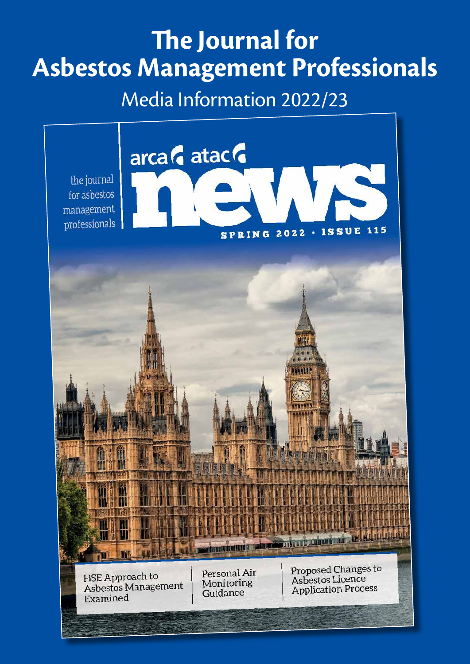# **The Journal for Asbestos Management Professionals** Media Information 2022/23

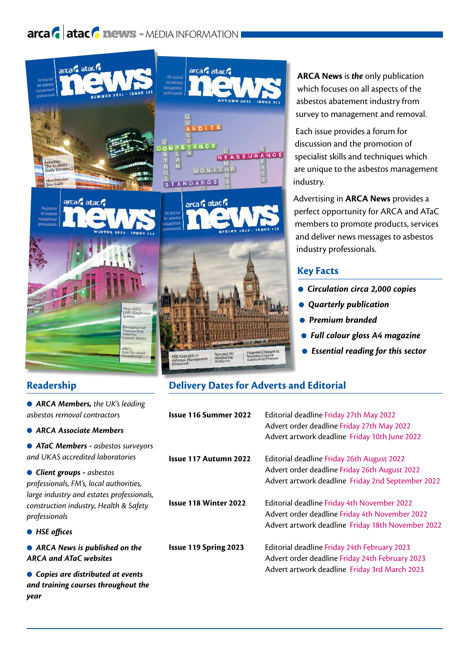# arca diatac diatements - MEDIA INFORMATION



**ARCA News** is *the* only publication which focuses on all aspects of the asbestos abatement industry from survey to management and removal.

Each issue provides a forum for discussion and the promotion of specialist skills and techniques which are unique to the asbestos management industry.

Advertising in **ARCA News** provides a perfect opportunity for ARCA and ATaC members to promote products, services and deliver news messages to asbestos industry professionals.

#### **Key Facts**

- **Circulation circa 2,000 copies**
- **•** Quarterly publication
- l *Premium branded*
- l *Full colour gloss A4 magazine*
- **•** Essential reading for this sector

#### **Readership**

- **ARCA Members, the UK's leading** *asbestos removal contractors*
- **ARCA Associate Members**
- l *ATaC Members asbestos surveyors and UKAS accredited laboratories*

l *Client groups - asbestos professionals, FM's, local authorities, large industry and estates professionals, construction industry, Health & Safety professionals*

**•** HSE offices

**• ARCA News is published on the** *ARCA and ATaC websites*

l *Copies are distributed at events and training courses throughout the year*

# **Delivery Dates for Adverts and Editorial**

| <b>Issue 116 Summer 2022</b> | Editorial deadline Friday 27th May 2022<br>Advert order deadline Friday 27th May 2022<br>Advert artwork deadline Friday 10th June 2022             |
|------------------------------|----------------------------------------------------------------------------------------------------------------------------------------------------|
| Issue 117 Autumn 2022        | Editorial deadline Friday 26th August 2022<br>Advert order deadline Friday 26th August 2022<br>Advert artwork deadline Friday 2nd September 2022   |
| <b>Issue 118 Winter 2022</b> | Editorial deadline Friday 4th November 2022<br>Advert order deadline Friday 4th November 2022<br>Advert artwork deadline Friday 18th November 2022 |
| <b>Issue 119 Spring 2023</b> | Editorial deadline Friday 24th February 2023<br>Advert order deadline Friday 24th February 2023<br>Advert artwork deadline Friday 3rd March 2023   |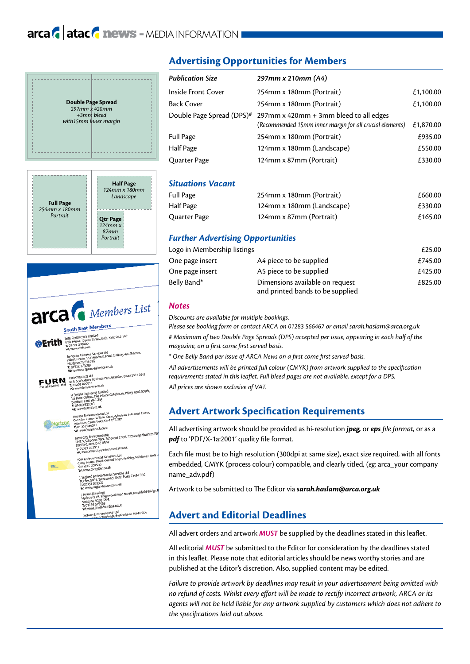





### **Advertising Opportunities for Members**

| <b>Publication Size</b>   | 297mm x 210mm (A4)                                                                                              |           |
|---------------------------|-----------------------------------------------------------------------------------------------------------------|-----------|
| Inside Front Cover        | 254mm x 180mm (Portrait)                                                                                        | £1,100.00 |
| <b>Back Cover</b>         | 254mm x 180mm (Portrait)<br>£1,100.00                                                                           |           |
| Double Page Spread (DPS)# | 297mm x 420mm + 3mm bleed to all edges<br>(Recommended 15mm inner margin for all crucial elements)<br>£1,870.00 |           |
| Full Page                 | 254mm x 180mm (Portrait)                                                                                        | £935.00   |
| Half Page                 | 124mm x 180mm (Landscape)                                                                                       | £550.00   |
| <b>Quarter Page</b>       | 124mm x 87mm (Portrait)                                                                                         | £330.00   |

#### *Situations Vacant*

| Full Page    | 254mm x 180mm (Portrait)  | £660.00 |
|--------------|---------------------------|---------|
| Half Page    | 124mm x 180mm (Landscape) | £330.00 |
| Quarter Page | 124mm x 87mm (Portrait)   | £165.00 |

#### *Further Advertising Opportunities*

| Logo in Membership listings |                                                                     | £25.00  |
|-----------------------------|---------------------------------------------------------------------|---------|
| One page insert             | A4 piece to be supplied                                             | £745.00 |
| One page insert             | A5 piece to be supplied                                             | £425.00 |
| Belly Band*                 | Dimensions available on request<br>and printed bands to be supplied | £825.00 |

#### *Notes*

*Discounts are available for multiple bookings.*

*Please see booking form or contact ARCA on 01283 566467 or email sarah.haslam@arca.org.uk # Maximum of two Double Page Spreads (DPS) accepted per issue, appearing in each half of the magazine, on a first come first served basis.*

*\* One Belly Band per issue of ARCA News on a first come first served basis.*

*All advertisements will be printed full colour (CMYK) from artwork supplied to the specification requirements stated in this leaflet. Full bleed pages are not available, except for a DPS. All prices are shown exclusive of VAT.*

**Advert Artwork Specification Requirements**

All advertising artwork should be provided as hi-resolution *jpeg,* or *eps file format,* or as a *pdf* to 'PDF/X-1a:2001' quality file format.

Each file must be to high resolution (300dpi at same size), exact size required, with all fonts embedded, CMYK (process colour) compatible, and clearly titled, (*eg:* arca\_your company name\_adv.pdf)

Artwork to be submitted to The Editor via *sarah.haslam@arca.org.uk*

# **Advert and Editorial Deadlines**

All advert orders and artwork *MUST* be supplied by the deadlines stated in this leaflet.

All editorial *MUST* be submitted to the Editor for consideration by the deadlines stated in this leaflet. Please note that editorial articles should be news worthy stories and are published at the Editor's discretion. Also, supplied content may be edited.

*Failure to provide artwork by deadlines may result in your advertisement being omitted with no refund of costs. Whilst every effort will be made to rectify incorrect artwork, ARCA or its agents will not be held liable for any artwork supplied by customers which does not adhere to the specifications laid out above.*